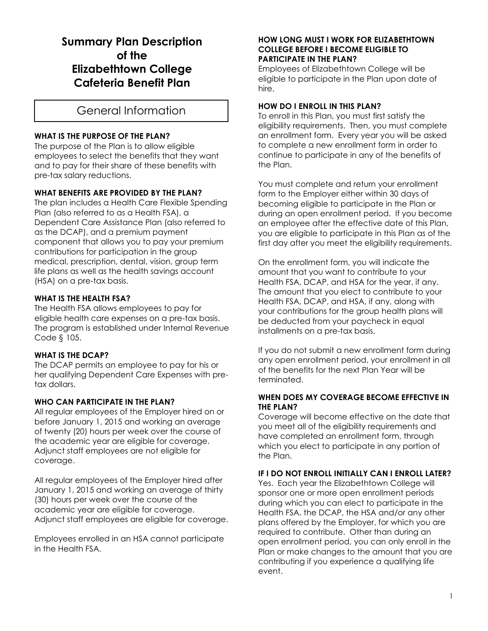# **Summary Plan Description of the Elizabethtown College Cafeteria Benefit Plan**

# General Information

## **WHAT IS THE PURPOSE OF THE PLAN?**

The purpose of the Plan is to allow eligible employees to select the benefits that they want and to pay for their share of these benefits with pre-tax salary reductions.

# **WHAT BENEFITS ARE PROVIDED BY THE PLAN?**

The plan includes a Health Care Flexible Spending Plan (also referred to as a Health FSA), a Dependent Care Assistance Plan (also referred to as the DCAP), and a premium payment component that allows you to pay your premium contributions for participation in the group medical, prescription, dental, vision, group term life plans as well as the health savings account (HSA) on a pre-tax basis.

#### **WHAT IS THE HEALTH FSA?**

The Health FSA allows employees to pay for eligible health care expenses on a pre-tax basis. The program is established under Internal Revenue Code § 105.

# **WHAT IS THE DCAP?**

The DCAP permits an employee to pay for his or her qualifying Dependent Care Expenses with pretax dollars.

#### **WHO CAN PARTICIPATE IN THE PLAN?**

All regular employees of the Employer hired on or before January 1, 2015 and working an average of twenty (20) hours per week over the course of the academic year are eligible for coverage. Adjunct staff employees are not eligible for coverage.

All regular employees of the Employer hired after January 1, 2015 and working an average of thirty (30) hours per week over the course of the academic year are eligible for coverage. Adjunct staff employees are eligible for coverage.

Employees enrolled in an HSA cannot participate in the Health FSA.

#### **HOW LONG MUST I WORK FOR ELIZABETHTOWN COLLEGE BEFORE I BECOME ELIGIBLE TO PARTICIPATE IN THE PLAN?**

Employees of Elizabethtown College will be eligible to participate in the Plan upon date of hire.

#### **HOW DO I ENROLL IN THIS PLAN?**

To enroll in this Plan, you must first satisfy the eligibility requirements. Then, you must complete an enrollment form. Every year you will be asked to complete a new enrollment form in order to continue to participate in any of the benefits of the Plan.

You must complete and return your enrollment form to the Employer either within 30 days of becoming eligible to participate in the Plan or during an open enrollment period. If you become an employee after the effective date of this Plan, you are eligible to participate in this Plan as of the first day after you meet the eligibility requirements.

On the enrollment form, you will indicate the amount that you want to contribute to your Health FSA, DCAP, and HSA for the year, if any. The amount that you elect to contribute to your Health FSA, DCAP, and HSA, if any, along with your contributions for the group health plans will be deducted from your paycheck in equal installments on a pre-tax basis.

If you do not submit a new enrollment form during any open enrollment period, your enrollment in all of the benefits for the next Plan Year will be terminated.

#### **WHEN DOES MY COVERAGE BECOME EFFECTIVE IN THE PLAN?**

Coverage will become effective on the date that you meet all of the eligibility requirements and have completed an enrollment form, through which you elect to participate in any portion of the Plan.

## **IF I DO NOT ENROLL INITIALLY CAN I ENROLL LATER?**

Yes. Each year the Elizabethtown College will sponsor one or more open enrollment periods during which you can elect to participate in the Health FSA, the DCAP, the HSA and/or any other plans offered by the Employer, for which you are required to contribute. Other than during an open enrollment period, you can only enroll in the Plan or make changes to the amount that you are contributing if you experience a qualifying life event.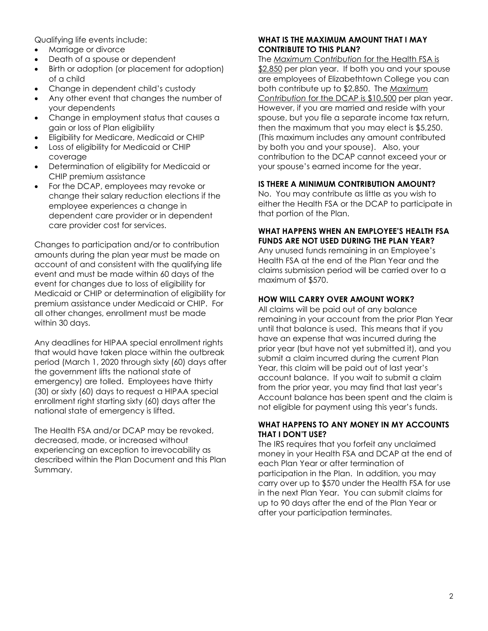Qualifying life events include:

- Marriage or divorce
- Death of a spouse or dependent
- Birth or adoption (or placement for adoption) of a child
- Change in dependent child's custody
- Any other event that changes the number of your dependents
- Change in employment status that causes a gain or loss of Plan eligibility
- Eligibility for Medicare, Medicaid or CHIP
- Loss of eligibility for Medicaid or CHIP coverage
- Determination of eligibility for Medicaid or CHIP premium assistance
- For the DCAP, employees may revoke or change their salary reduction elections if the employee experiences a change in dependent care provider or in dependent care provider cost for services.

Changes to participation and/or to contribution amounts during the plan year must be made on account of and consistent with the qualifying life event and must be made within 60 days of the event for changes due to loss of eligibility for Medicaid or CHIP or determination of eligibility for premium assistance under Medicaid or CHIP. For all other changes, enrollment must be made within 30 days.

Any deadlines for HIPAA special enrollment rights that would have taken place within the outbreak period (March 1, 2020 through sixty (60) days after the government lifts the national state of emergency) are tolled. Employees have thirty (30) or sixty (60) days to request a HIPAA special enrollment right starting sixty (60) days after the national state of emergency is lifted.

The Health FSA and/or DCAP may be revoked, decreased, made, or increased without experiencing an exception to irrevocability as described within the Plan Document and this Plan Summary.

# **WHAT IS THE MAXIMUM AMOUNT THAT I MAY CONTRIBUTE TO THIS PLAN?**

The *Maximum Contribution* for the Health FSA is \$2,850 per plan year. If both you and your spouse are employees of Elizabethtown College you can both contribute up to \$2,850. The *Maximum Contribution* for the DCAP is \$10,500 per plan year. However, if you are married and reside with your spouse, but you file a separate income tax return, then the maximum that you may elect is \$5,250. (This maximum includes any amount contributed by both you and your spouse). Also, your contribution to the DCAP cannot exceed your or your spouse's earned income for the year.

## **IS THERE A MINIMUM CONTRIBUTION AMOUNT?**

No. You may contribute as little as you wish to either the Health FSA or the DCAP to participate in that portion of the Plan.

#### **WHAT HAPPENS WHEN AN EMPLOYEE'S HEALTH FSA FUNDS ARE NOT USED DURING THE PLAN YEAR?**

Any unused funds remaining in an Employee's Health FSA at the end of the Plan Year and the claims submission period will be carried over to a maximum of \$570.

## **HOW WILL CARRY OVER AMOUNT WORK?**

All claims will be paid out of any balance remaining in your account from the prior Plan Year until that balance is used. This means that if you have an expense that was incurred during the prior year (but have not yet submitted it), and you submit a claim incurred during the current Plan Year, this claim will be paid out of last year's account balance. If you wait to submit a claim from the prior year, you may find that last year's Account balance has been spent and the claim is not eligible for payment using this year's funds.

#### **WHAT HAPPENS TO ANY MONEY IN MY ACCOUNTS THAT I DON'T USE?**

The IRS requires that you forfeit any unclaimed money in your Health FSA and DCAP at the end of each Plan Year or after termination of participation in the Plan. In addition, you may carry over up to \$570 under the Health FSA for use in the next Plan Year. You can submit claims for up to 90 days after the end of the Plan Year or after your participation terminates.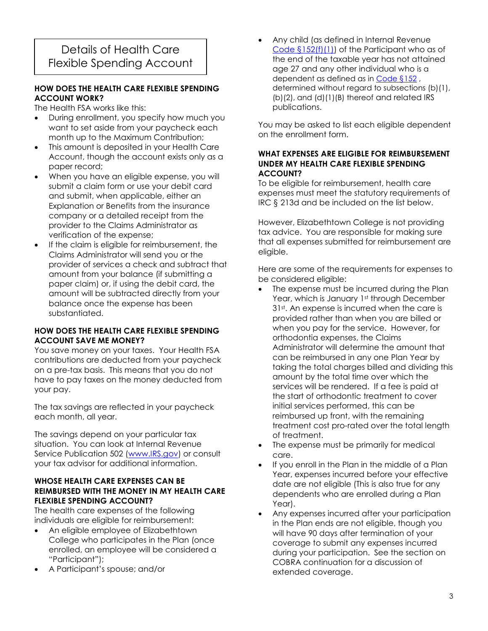# Details of Health Care Flexible Spending Account

## **HOW DOES THE HEALTH CARE FLEXIBLE SPENDING ACCOUNT WORK?**

The Health FSA works like this:

- During enrollment, you specify how much you want to set aside from your paycheck each month up to the Maximum Contribution;
- This amount is deposited in your Health Care Account, though the account exists only as a paper record;
- When you have an eligible expense, you will submit a claim form or use your debit card and submit, when applicable, either an Explanation or Benefits from the insurance company or a detailed receipt from the provider to the Claims Administrator as verification of the expense;
- If the claim is eligible for reimbursement, the Claims Administrator will send you or the provider of services a check and subtract that amount from your balance (if submitting a paper claim) or, if using the debit card, the amount will be subtracted directly from your balance once the expense has been substantiated.

## **HOW DOES THE HEALTH CARE FLEXIBLE SPENDING ACCOUNT SAVE ME MONEY?**

You save money on your taxes. Your Health FSA contributions are deducted from your paycheck on a pre-tax basis. This means that you do not have to pay taxes on the money deducted from your pay.

The tax savings are reflected in your paycheck each month, all year.

The savings depend on your particular tax situation. You can look at Internal Revenue Service Publication 502 [\(www.IRS.gov\)](http://www.irs.gov/) or consult your tax advisor for additional information.

#### **WHOSE HEALTH CARE EXPENSES CAN BE REIMBURSED WITH THE MONEY IN MY HEALTH CARE FLEXIBLE SPENDING ACCOUNT?**

The health care expenses of the following individuals are eligible for reimbursement:

- An eligible employee of Elizabethtown College who participates in the Plan (once enrolled, an employee will be considered a "Participant");
- A Participant's spouse; and/or

 Any child (as defined in Internal Revenue [Code §152\(f\)\(1\)\)](https://checkpoint.riag.com/getDoc?DocID=T0RULNG70:17544.1&pinpnt=) of the Participant who as of the end of the taxable year has not attained age 27 and any other individual who is a dependent as defined as in [Code §152](https://checkpoint.riag.com/getDoc?DocID=T0TCODE:4677.1&pinpnt=) , determined without regard to subsections (b)(1), (b)(2), and (d)(1)(B) thereof and related IRS publications.

You may be asked to list each eligible dependent on the enrollment form.

#### **WHAT EXPENSES ARE ELIGIBLE FOR REIMBURSEMENT UNDER MY HEALTH CARE FLEXIBLE SPENDING ACCOUNT?**

To be eligible for reimbursement, health care expenses must meet the statutory requirements of IRC § 213d and be included on the list below.

However, Elizabethtown College is not providing tax advice. You are responsible for making sure that all expenses submitted for reimbursement are eligible.

Here are some of the requirements for expenses to be considered eligible:

- The expense must be incurred during the Plan Year, which is January 1st through December 31<sup>st</sup>. An expense is incurred when the care is provided rather than when you are billed or when you pay for the service. However, for orthodontia expenses, the Claims Administrator will determine the amount that can be reimbursed in any one Plan Year by taking the total charges billed and dividing this amount by the total time over which the services will be rendered. If a fee is paid at the start of orthodontic treatment to cover initial services performed, this can be reimbursed up front, with the remaining treatment cost pro-rated over the total length of treatment.
- The expense must be primarily for medical care.
- If you enroll in the Plan in the middle of a Plan Year, expenses incurred before your effective date are not eligible (This is also true for any dependents who are enrolled during a Plan Year).
- Any expenses incurred after your participation in the Plan ends are not eligible, though you will have 90 days after termination of your coverage to submit any expenses incurred during your participation. See the section on COBRA continuation for a discussion of extended coverage.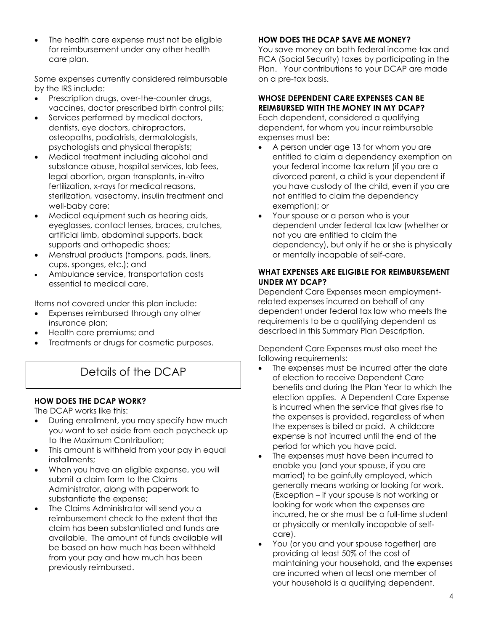The health care expense must not be eligible for reimbursement under any other health care plan.

Some expenses currently considered reimbursable by the IRS include:

- Prescription drugs, over-the-counter drugs, vaccines, doctor prescribed birth control pills;
- Services performed by medical doctors, dentists, eye doctors, chiropractors, osteopaths, podiatrists, dermatologists, psychologists and physical therapists;
- Medical treatment including alcohol and substance abuse, hospital services, lab fees, legal abortion, organ transplants, in-vitro fertilization, x-rays for medical reasons, sterilization, vasectomy, insulin treatment and well-baby care;
- Medical equipment such as hearing aids, eyeglasses, contact lenses, braces, crutches, artificial limb, abdominal supports, back supports and orthopedic shoes;
- Menstrual products (tampons, pads, liners, cups, sponges, etc.); and
- Ambulance service, transportation costs essential to medical care.

Items not covered under this plan include:

- Expenses reimbursed through any other insurance plan;
- Health care premiums; and
- Treatments or drugs for cosmetic purposes.

# Details of the DCAP

## **HOW DOES THE DCAP WORK?**

The DCAP works like this:

- During enrollment, you may specify how much you want to set aside from each paycheck up to the Maximum Contribution;
- This amount is withheld from your pay in equal installments;
- When you have an eligible expense, you will submit a claim form to the Claims Administrator, along with paperwork to substantiate the expense;
- The Claims Administrator will send you a reimbursement check to the extent that the claim has been substantiated and funds are available. The amount of funds available will be based on how much has been withheld from your pay and how much has been previously reimbursed.

# **HOW DOES THE DCAP SAVE ME MONEY?**

You save money on both federal income tax and FICA (Social Security) taxes by participating in the Plan. Your contributions to your DCAP are made on a pre-tax basis.

#### **WHOSE DEPENDENT CARE EXPENSES CAN BE REIMBURSED WITH THE MONEY IN MY DCAP?**

Each dependent, considered a qualifying dependent, for whom you incur reimbursable expenses must be:

- A person under age 13 for whom you are entitled to claim a dependency exemption on your federal income tax return (if you are a divorced parent, a child is your dependent if you have custody of the child, even if you are not entitled to claim the dependency exemption); or
- Your spouse or a person who is your dependent under federal tax law (whether or not you are entitled to claim the dependency), but only if he or she is physically or mentally incapable of self-care.

#### **WHAT EXPENSES ARE ELIGIBLE FOR REIMBURSEMENT UNDER MY DCAP?**

Dependent Care Expenses mean employmentrelated expenses incurred on behalf of any dependent under federal tax law who meets the requirements to be a qualifying dependent as described in this Summary Plan Description.

Dependent Care Expenses must also meet the following requirements:

- The expenses must be incurred after the date of election to receive Dependent Care benefits and during the Plan Year to which the election applies. A Dependent Care Expense is incurred when the service that gives rise to the expenses is provided, regardless of when the expenses is billed or paid. A childcare expense is not incurred until the end of the period for which you have paid.
- The expenses must have been incurred to enable you (and your spouse, if you are married) to be gainfully employed, which generally means working or looking for work. (Exception – if your spouse is not working or looking for work when the expenses are incurred, he or she must be a full-time student or physically or mentally incapable of selfcare).
- You (or you and your spouse together) are providing at least 50% of the cost of maintaining your household, and the expenses are incurred when at least one member of your household is a qualifying dependent.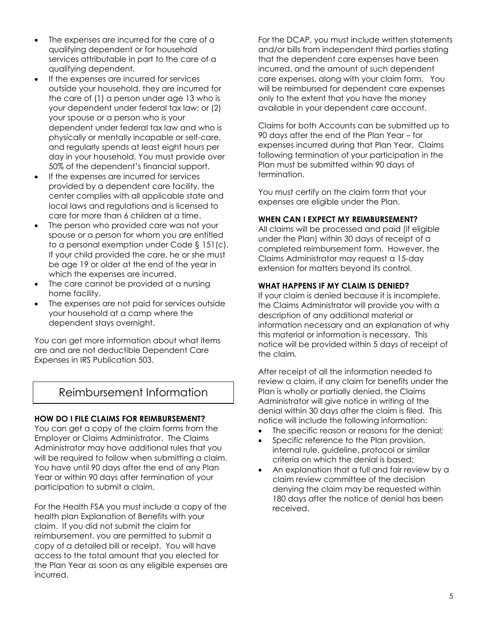- The expenses are incurred for the care of a qualifying dependent or for household services attributable in part to the care of a qualifying dependent.
- If the expenses are incurred for services outside your household, they are incurred for the care of (1) a person under age 13 who is your dependent under federal tax law; or (2) your spouse or a person who is your dependent under federal tax law and who is physically or mentally incapable or self-care, and regularly spends at least eight hours per day in your household. You must provide over 50% of the dependent's financial support.
- If the expenses are incurred for services provided by a dependent care facility, the center complies with all applicable state and local laws and regulations and is licensed to care for more than 6 children at a time.
- The person who provided care was not your spouse or a person for whom you are entitled to a personal exemption under Code § 151(c). If your child provided the care, he or she must be age 19 or older at the end of the year in which the expenses are incurred.
- The care cannot be provided at a nursing home facility.
- The expenses are not paid for services outside your household at a camp where the dependent stays overnight.

You can get more information about what items are and are not deductible Dependent Care Expenses in IRS Publication 503.

# Reimbursement Information

## **HOW DO I FILE CLAIMS FOR REIMBURSEMENT?**

You can get a copy of the claim forms from the Employer or Claims Administrator. The Claims Administrator may have additional rules that you will be required to follow when submitting a claim. You have until 90 days after the end of any Plan Year or within 90 days after termination of your participation to submit a claim.

For the Health FSA you must include a copy of the health plan Explanation of Benefits with your claim. If you did not submit the claim for reimbursement, you are permitted to submit a copy of a detailed bill or receipt. You will have access to the total amount that you elected for the Plan Year as soon as any eligible expenses are incurred.

For the DCAP, you must include written statements and/or bills from independent third parties stating that the dependent care expenses have been incurred, and the amount of such dependent care expenses, along with your claim form. You will be reimbursed for dependent care expenses only to the extent that you have the money available in your dependent care account.

Claims for both Accounts can be submitted up to 90 days after the end of the Plan Year – for expenses incurred during that Plan Year. Claims following termination of your participation in the Plan must be submitted within 90 days of termination.

You must certify on the claim form that your expenses are eligible under the Plan.

## **WHEN CAN I EXPECT MY REIMBURSEMENT?**

All claims will be processed and paid (if eligible under the Plan) within 30 days of receipt of a completed reimbursement form. However, the Claims Administrator may request a 15-day extension for matters beyond its control.

#### **WHAT HAPPENS IF MY CLAIM IS DENIED?**

If your claim is denied because it is incomplete, the Claims Administrator will provide you with a description of any additional material or information necessary and an explanation of why this material or information is necessary. This notice will be provided within 5 days of receipt of the claim.

After receipt of all the information needed to review a claim, if any claim for benefits under the Plan is wholly or partially denied, the Claims Administrator will give notice in writing of the denial within 30 days after the claim is filed. This notice will include the following information:

- The specific reason or reasons for the denial;
- Specific reference to the Plan provision, internal rule, guideline, protocol or similar criteria on which the denial is based;
- An explanation that a full and fair review by a claim review committee of the decision denying the claim may be requested within 180 days after the notice of denial has been received.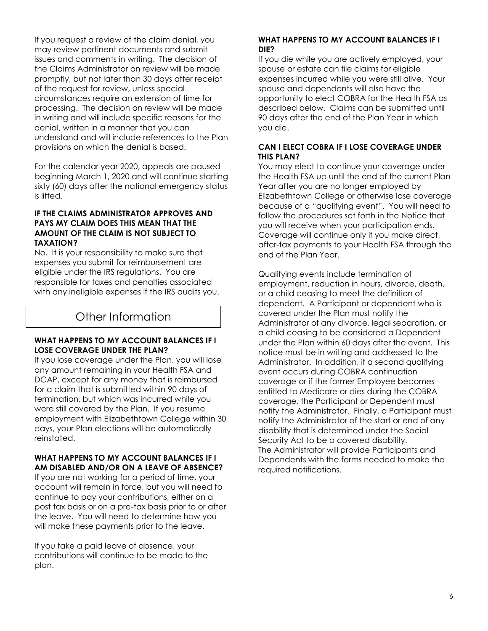If you request a review of the claim denial, you may review pertinent documents and submit issues and comments in writing. The decision of the Claims Administrator on review will be made promptly, but not later than 30 days after receipt of the request for review, unless special circumstances require an extension of time for processing. The decision on review will be made in writing and will include specific reasons for the denial, written in a manner that you can understand and will include references to the Plan provisions on which the denial is based.

For the calendar year 2020, appeals are paused beginning March 1, 2020 and will continue starting sixty (60) days after the national emergency status is lifted.

#### **IF THE CLAIMS ADMINISTRATOR APPROVES AND PAYS MY CLAIM DOES THIS MEAN THAT THE AMOUNT OF THE CLAIM IS NOT SUBJECT TO TAXATION?**

No. It is your responsibility to make sure that expenses you submit for reimbursement are eligible under the IRS regulations. You are responsible for taxes and penalties associated with any ineligible expenses if the IRS audits you.

# Other Information

#### **WHAT HAPPENS TO MY ACCOUNT BALANCES IF I LOSE COVERAGE UNDER THE PLAN?**

If you lose coverage under the Plan, you will lose any amount remaining in your Health FSA and DCAP, except for any money that is reimbursed for a claim that is submitted within 90 days of termination, but which was incurred while you were still covered by the Plan. If you resume employment with Elizabethtown College within 30 days, your Plan elections will be automatically reinstated.

#### **WHAT HAPPENS TO MY ACCOUNT BALANCES IF I AM DISABLED AND/OR ON A LEAVE OF ABSENCE?**

If you are not working for a period of time, your account will remain in force, but you will need to continue to pay your contributions, either on a post tax basis or on a pre-tax basis prior to or after the leave. You will need to determine how you will make these payments prior to the leave.

If you take a paid leave of absence, your contributions will continue to be made to the plan.

#### **WHAT HAPPENS TO MY ACCOUNT BALANCES IF I DIE?**

If you die while you are actively employed, your spouse or estate can file claims for eligible expenses incurred while you were still alive. Your spouse and dependents will also have the opportunity to elect COBRA for the Health FSA as described below. Claims can be submitted until 90 days after the end of the Plan Year in which you die.

#### **CAN I ELECT COBRA IF I LOSE COVERAGE UNDER THIS PLAN?**

You may elect to continue your coverage under the Health FSA up until the end of the current Plan Year after you are no longer employed by Elizabethtown College or otherwise lose coverage because of a "qualifying event". You will need to follow the procedures set forth in the Notice that you will receive when your participation ends. Coverage will continue only if you make direct, after-tax payments to your Health FSA through the end of the Plan Year.

Qualifying events include termination of employment, reduction in hours, divorce, death, or a child ceasing to meet the definition of dependent. A Participant or dependent who is covered under the Plan must notify the Administrator of any divorce, legal separation, or a child ceasing to be considered a Dependent under the Plan within 60 days after the event. This notice must be in writing and addressed to the Administrator. In addition, if a second qualifying event occurs during COBRA continuation coverage or if the former Employee becomes entitled to Medicare or dies during the COBRA coverage, the Participant or Dependent must notify the Administrator. Finally, a Participant must notify the Administrator of the start or end of any disability that is determined under the Social Security Act to be a covered disability. The Administrator will provide Participants and Dependents with the forms needed to make the required notifications.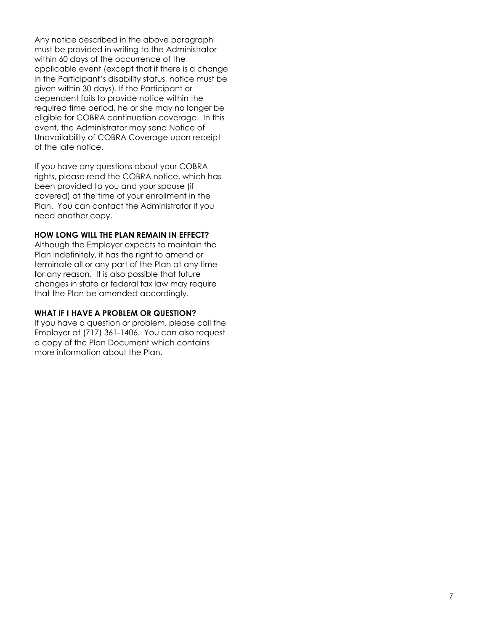Any notice described in the above paragraph must be provided in writing to the Administrator within 60 days of the occurrence of the applicable event (except that if there is a change in the Participant's disability status, notice must be given within 30 days). If the Participant or dependent fails to provide notice within the required time period, he or she may no longer be eligible for COBRA continuation coverage. In this event, the Administrator may send Notice of Unavailability of COBRA Coverage upon receipt of the late notice.

If you have any questions about your COBRA rights, please read the COBRA notice, which has been provided to you and your spouse (if covered) at the time of your enrollment in the Plan. You can contact the Administrator if you need another copy.

#### **HOW LONG WILL THE PLAN REMAIN IN EFFECT?**

Although the Employer expects to maintain the Plan indefinitely, it has the right to amend or terminate all or any part of the Plan at any time for any reason. It is also possible that future changes in state or federal tax law may require that the Plan be amended accordingly.

#### **WHAT IF I HAVE A PROBLEM OR QUESTION?**

If you have a question or problem, please call the Employer at (717) 361-1406. You can also request a copy of the Plan Document which contains more information about the Plan.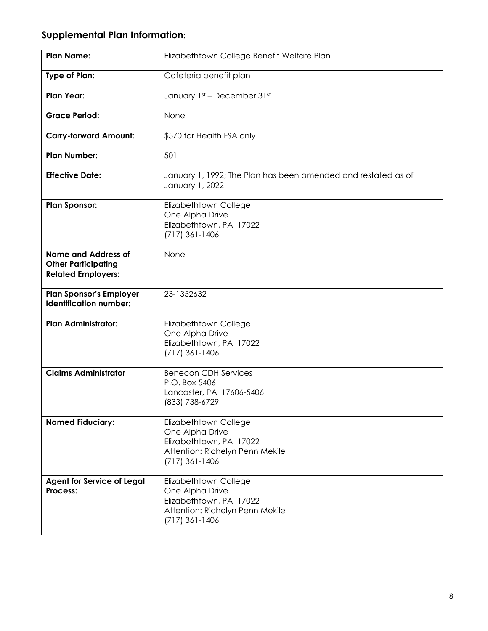# **Supplemental Plan Information**:

| <b>Plan Name:</b>                                                                     | Elizabethtown College Benefit Welfare Plan                                                                                 |
|---------------------------------------------------------------------------------------|----------------------------------------------------------------------------------------------------------------------------|
| <b>Type of Plan:</b>                                                                  | Cafeteria benefit plan                                                                                                     |
| <b>Plan Year:</b>                                                                     | January 1st - December 31st                                                                                                |
| <b>Grace Period:</b>                                                                  | None                                                                                                                       |
| <b>Carry-forward Amount:</b>                                                          | \$570 for Health FSA only                                                                                                  |
| <b>Plan Number:</b>                                                                   | 501                                                                                                                        |
| <b>Effective Date:</b>                                                                | January 1, 1992; The Plan has been amended and restated as of<br>January 1, 2022                                           |
| <b>Plan Sponsor:</b>                                                                  | Elizabethtown College<br>One Alpha Drive<br>Elizabethtown, PA 17022<br>$(717)$ 361-1406                                    |
| <b>Name and Address of</b><br><b>Other Participating</b><br><b>Related Employers:</b> | None                                                                                                                       |
| <b>Plan Sponsor's Employer</b><br><b>Identification number:</b>                       | 23-1352632                                                                                                                 |
| <b>Plan Administrator:</b>                                                            | Elizabethtown College<br>One Alpha Drive<br>Elizabethtown, PA 17022<br>$(717)$ 361-1406                                    |
| <b>Claims Administrator</b>                                                           | <b>Benecon CDH Services</b><br>P.O. Box 5406<br>Lancaster, PA 17606-5406<br>(833) 738-6729                                 |
| <b>Named Fiduciary:</b>                                                               | Elizabethtown College<br>One Alpha Drive<br>Elizabethtown, PA 17022<br>Attention: Richelyn Penn Mekile<br>$(717)$ 361-1406 |
| <b>Agent for Service of Legal</b><br>Process:                                         | Elizabethtown College<br>One Alpha Drive<br>Elizabethtown, PA 17022<br>Attention: Richelyn Penn Mekile<br>$(717)$ 361-1406 |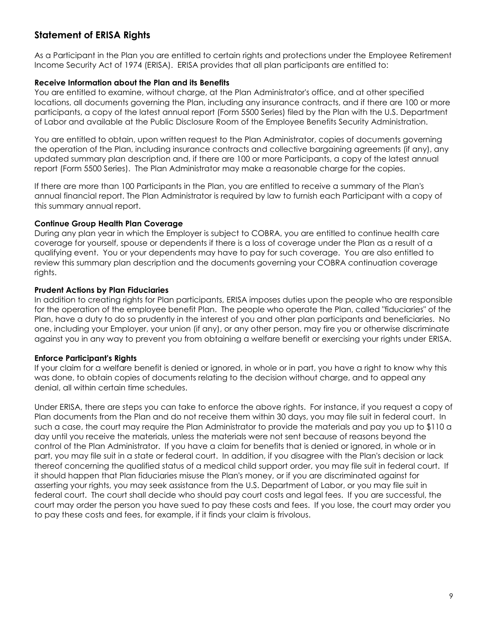# **Statement of ERISA Rights**

As a Participant in the Plan you are entitled to certain rights and protections under the Employee Retirement Income Security Act of 1974 (ERISA). ERISA provides that all plan participants are entitled to:

#### **Receive Information about the Plan and its Benefits**

You are entitled to examine, without charge, at the Plan Administrator's office, and at other specified locations, all documents governing the Plan, including any insurance contracts, and if there are 100 or more participants, a copy of the latest annual report (Form 5500 Series) filed by the Plan with the U.S. Department of Labor and available at the Public Disclosure Room of the Employee Benefits Security Administration.

You are entitled to obtain, upon written request to the Plan Administrator, copies of documents governing the operation of the Plan, including insurance contracts and collective bargaining agreements (if any), any updated summary plan description and, if there are 100 or more Participants, a copy of the latest annual report (Form 5500 Series). The Plan Administrator may make a reasonable charge for the copies.

If there are more than 100 Participants in the Plan, you are entitled to receive a summary of the Plan's annual financial report. The Plan Administrator is required by law to furnish each Participant with a copy of this summary annual report.

#### **Continue Group Health Plan Coverage**

During any plan year in which the Employer is subject to COBRA, you are entitled to continue health care coverage for yourself, spouse or dependents if there is a loss of coverage under the Plan as a result of a qualifying event. You or your dependents may have to pay for such coverage. You are also entitled to review this summary plan description and the documents governing your COBRA continuation coverage rights.

#### **Prudent Actions by Plan Fiduciaries**

In addition to creating rights for Plan participants, ERISA imposes duties upon the people who are responsible for the operation of the employee benefit Plan. The people who operate the Plan, called "fiduciaries" of the Plan, have a duty to do so prudently in the interest of you and other plan participants and beneficiaries. No one, including your Employer, your union (if any), or any other person, may fire you or otherwise discriminate against you in any way to prevent you from obtaining a welfare benefit or exercising your rights under ERISA.

## **Enforce Participant's Rights**

If your claim for a welfare benefit is denied or ignored, in whole or in part, you have a right to know why this was done, to obtain copies of documents relating to the decision without charge, and to appeal any denial, all within certain time schedules.

Under ERISA, there are steps you can take to enforce the above rights. For instance, if you request a copy of Plan documents from the Plan and do not receive them within 30 days, you may file suit in federal court. In such a case, the court may require the Plan Administrator to provide the materials and pay you up to \$110 a day until you receive the materials, unless the materials were not sent because of reasons beyond the control of the Plan Administrator. If you have a claim for benefits that is denied or ignored, in whole or in part, you may file suit in a state or federal court. In addition, if you disagree with the Plan's decision or lack thereof concerning the qualified status of a medical child support order, you may file suit in federal court. If it should happen that Plan fiduciaries misuse the Plan's money, or if you are discriminated against for asserting your rights, you may seek assistance from the U.S. Department of Labor, or you may file suit in federal court. The court shall decide who should pay court costs and legal fees. If you are successful, the court may order the person you have sued to pay these costs and fees. If you lose, the court may order you to pay these costs and fees, for example, if it finds your claim is frivolous.